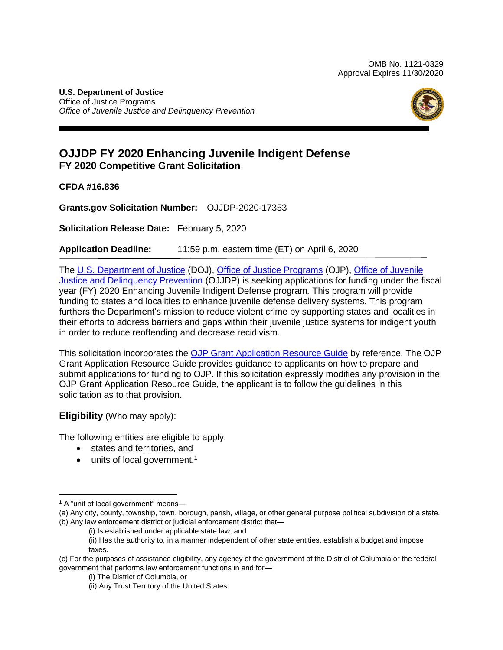#### **U.S. Department of Justice**  Office of Justice Programs *Office of Juvenile Justice and Delinquency Prevention*



# **OJJDP FY 2020 Enhancing Juvenile Indigent Defense FY 2020 Competitive Grant Solicitation**

**CFDA #16.836** 

**[Grants.gov](https://Grants.gov) Solicitation Number:** OJJDP-2020-17353

 **Solicitation Release Date:** February 5, 2020

**Application Deadline:** 11:59 p.m. eastern time (ET) on April 6, 2020

The [U.S. Department of Justice](https://www.usdoj.gov/) (DOJ), [Office of Justice Programs](https://www.ojp.usdoj.gov/) (OJP), Office of Juvenile [Justice and Delinquency Prevention](https://ojjdp.ojp.gov/) (OJJDP) is seeking applications for funding under the fiscal year (FY) 2020 Enhancing Juvenile Indigent Defense program*.* This program will provide funding to states and localities to enhance juvenile defense delivery systems. This program furthers the Department's mission to reduce violent crime by supporting states and localities in their efforts to address barriers and gaps within their juvenile justice systems for indigent youth in order to reduce reoffending and decrease recidivism.

This solicitation incorporates the **OJP Grant Application Resource Guide** by reference. The OJP Grant Application Resource Guide provides guidance to applicants on how to prepare and submit applications for funding to OJP. If this solicitation expressly modifies any provision in the OJP Grant Application Resource Guide, the applicant is to follow the guidelines in this solicitation as to that provision.

**Eligibility** (Who may apply):

The following entities are eligible to apply:

- states and territories, and
- $\bullet$  units of local government.<sup>1</sup>

 $\overline{\phantom{a}}$ <sup>1</sup> A "unit of local government" means-

 (a) Any city, county, township, town, borough, parish, village, or other general purpose political subdivision of a state. (b) Any law enforcement district or judicial enforcement district that—

<sup>(</sup>i) Is established under applicable state law, and

 (ii) Has the authority to, in a manner independent of other state entities, establish a budget and impose taxes.

 (c) For the purposes of assistance eligibility, any agency of the government of the District of Columbia or the federal government that performs law enforcement functions in and for—

<sup>(</sup>i) The District of Columbia, or

<sup>(</sup>ii) Any Trust Territory of the United States.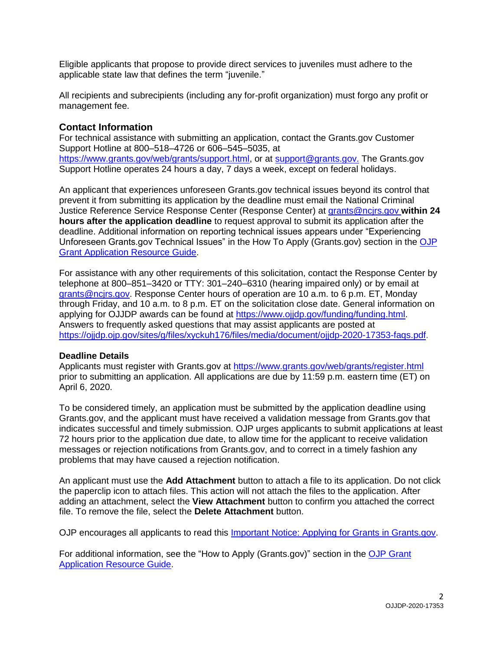Eligible applicants that propose to provide direct services to juveniles must adhere to the applicable state law that defines the term "juvenile."

 All recipients and subrecipients (including any for-profit organization) must forgo any profit or management fee.

### **Contact Information**

 For technical assistance with submitting an application, contact the [Grants.gov](https://Grants.gov) Customer Support Hotline at 800–518–4726 or 606–545–5035, at [https://www.grants.gov/web/grants/support.html,](https://www.grants.gov/web/grants/support.html) or at [support@grants.gov.](mailto:support@grants.gov) The [Grants.gov](https://Grants.gov) Support Hotline operates 24 hours a day, 7 days a week, except on federal holidays.

 An applicant that experiences unforeseen [Grants.gov](https://Grants.gov) technical issues beyond its control that prevent it from submitting its application by the deadline must email the National Criminal Justice Reference Service Response Center (Response Center) at [grants@ncjrs.gov](mailto:grants@ncjrs.gov) **within 24 hours after the application deadline** to request approval to submit its application after the Unforeseen [Grants.gov](https://Grants.gov) Technical Issues" in the How To Apply (Grants.gov) section in the OJP deadline. Additional information on reporting technical issues appears under "Experiencing [Grant Application Resource Guide.](https://www.ojp.gov/funding/Apply/Resources/Grant-App-Resource-Guide.htm)

 For assistance with any other requirements of this solicitation, contact the Response Center by telephone at 800–851–3420 or TTY: 301–240–6310 (hearing impaired only) or by email at grants@ncirs.gov. Response Center hours of operation are 10 a.m. to 6 p.m. ET, Monday through Friday, and 10 a.m. to 8 p.m. ET on the solicitation close date. General information on applying for OJJDP awards can be found at [https://www.ojjdp.gov/funding/funding.html.](https://www.ojjdp.gov/funding/funding.html) Answers to frequently asked questions that may assist applicants are posted at [https://ojjdp.ojp.gov/sites/g/files/xyckuh176/files/media/document/ojjdp-2020-17353-faqs.pdf.](https://ojjdp.ojp.gov/sites/g/files/xyckuh176/files/media/document/ojjdp-2020-17353-faqs.pdf)

#### **Deadline Details**

Applicants must register with [Grants.gov](https://Grants.gov) at https://www.grants.gov/web/grants/register.html prior to submitting an application. All applications are due by 11:59 p.m. eastern time (ET) on April 6, 2020.

 To be considered timely, an application must be submitted by the application deadline using [Grants.gov,](https://Grants.gov) and the applicant must have received a validation message from [Grants.gov](https://Grants.gov) that indicates successful and timely submission. OJP urges applicants to submit applications at least 72 hours prior to the application due date, to allow time for the applicant to receive validation messages or rejection notifications from [Grants.gov,](https://Grants.gov) and to correct in a timely fashion any problems that may have caused a rejection notification.

 An applicant must use the **Add Attachment** button to attach a file to its application. Do not click the paperclip icon to attach files. This action will not attach the files to the application. After adding an attachment, select the **View Attachment** button to confirm you attached the correct file. To remove the file, select the **Delete Attachment** button.

OJP encourages all applicants to read this *Important Notice: Applying for Grants in Grants.gov.* 

For additional information, see the "How to Apply ([Grants.gov\)](https://Grants.gov)" section in the OJP Grant [Application Resource Guide.](https://www.ojp.gov/funding/Apply/Resources/Grant-App-Resource-Guide.htm#howToApply)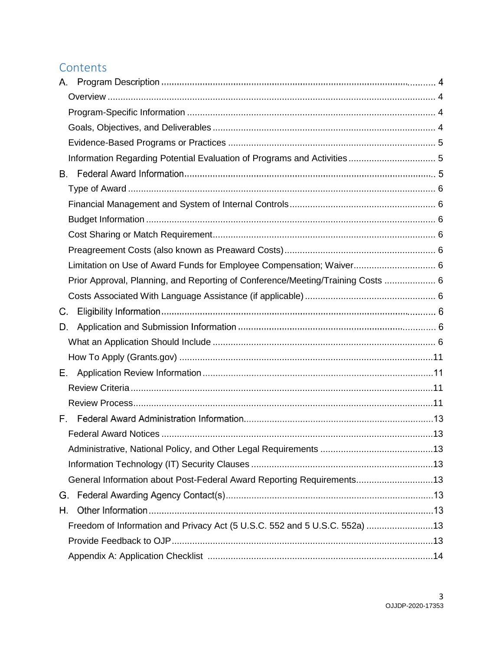# **Contents**

| Α.                                                                              |  |
|---------------------------------------------------------------------------------|--|
|                                                                                 |  |
|                                                                                 |  |
|                                                                                 |  |
|                                                                                 |  |
|                                                                                 |  |
| В.                                                                              |  |
|                                                                                 |  |
|                                                                                 |  |
|                                                                                 |  |
|                                                                                 |  |
|                                                                                 |  |
| Limitation on Use of Award Funds for Employee Compensation; Waiver 6            |  |
| Prior Approval, Planning, and Reporting of Conference/Meeting/Training Costs  6 |  |
|                                                                                 |  |
| C.                                                                              |  |
| D.                                                                              |  |
|                                                                                 |  |
|                                                                                 |  |
| Е.                                                                              |  |
|                                                                                 |  |
|                                                                                 |  |
|                                                                                 |  |
|                                                                                 |  |
|                                                                                 |  |
|                                                                                 |  |
| General Information about Post-Federal Award Reporting Requirements13           |  |
| G.                                                                              |  |
| Η.                                                                              |  |
| Freedom of Information and Privacy Act (5 U.S.C. 552 and 5 U.S.C. 552a) 13      |  |
|                                                                                 |  |
|                                                                                 |  |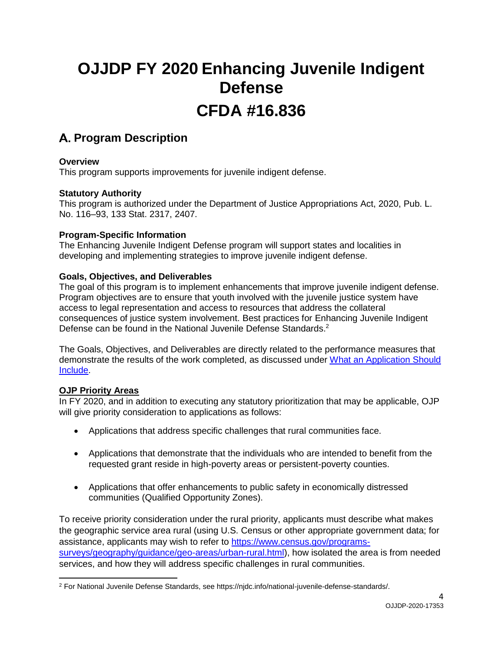# **OJJDP FY 2020 Enhancing Juvenile Indigent Defense CFDA #16.836**

# **Program Description**

# **Overview**

This program supports improvements for juvenile indigent defense.

### **Statutory Authority**

 This program is authorized under the Department of Justice Appropriations Act, 2020, Pub. L. No. 116–93, 133 Stat. 2317, 2407.

#### <span id="page-3-0"></span>**Program-Specific Information**

<span id="page-3-1"></span> The Enhancing Juvenile Indigent Defense program will support states and localities in developing and implementing strategies to improve juvenile indigent defense.

### <span id="page-3-2"></span>**Goals, Objectives, and Deliverables**

 The goal of this program is to implement enhancements that improve juvenile indigent defense. Program objectives are to ensure that youth involved with the juvenile justice system have access to legal representation and access to resources that address the collateral consequences of justice system involvement. Best practices for Enhancing Juvenile Indigent Defense can be found in the National Juvenile Defense Standards.<sup>2</sup>

 The Goals, Objectives, and Deliverables are directly related to the performance measures that demonstrate the results of the work completed, as discussed under What an Application Should [Include.](#page-5-5)

# **OJP Priority Areas**

 In FY 2020, and in addition to executing any statutory prioritization that may be applicable, OJP will give priority consideration to applications as follows:

- Applications that address specific challenges that rural communities face.
- Applications that demonstrate that the individuals who are intended to benefit from the requested grant reside in high-poverty areas or persistent-poverty counties.
- Applications that offer enhancements to public safety in economically distressed communities (Qualified Opportunity Zones).

 To receive priority consideration under the rural priority, applicants must describe what makes the geographic service area rural (using U.S. Census or other appropriate government data; for assistance, applicants may wish to refer to [https://www.census.gov/programs](https://www.census.gov/programs-surveys/geography/guidance/geo-areas/urban-rural.html)[surveys/geography/guidance/geo-areas/urban-rural.html\)](https://www.census.gov/programs-surveys/geography/guidance/geo-areas/urban-rural.html), how isolated the area is from needed services, and how they will address specific challenges in rural communities.

 $\overline{\phantom{a}}$ <sup>2</sup> For National Juvenile Defense Standards, see [https://njdc.info/national-juvenile-defense-standards/](https://njdc.info/national-juvenile-defense-standards).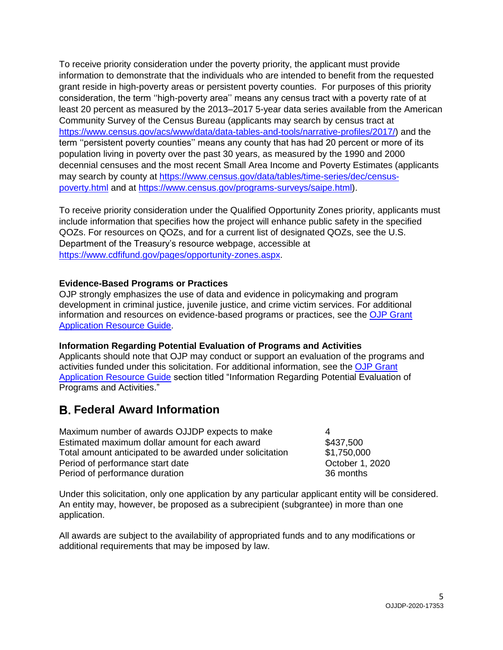To receive priority consideration under the poverty priority, the applicant must provide information to demonstrate that the individuals who are intended to benefit from the requested grant reside in high-poverty areas or persistent poverty counties. For purposes of this priority consideration, the term ''high-poverty area'' means any census tract with a poverty rate of at least 20 percent as measured by the 2013–2017 5-year data series available from the American Community Survey of the Census Bureau (applicants may search by census tract at [https://www.census.gov/acs/www/data/data-tables-and-tools/narrative-profiles/2017/\)](https://www.census.gov/acs/www/data/data-tables-and-tools/narrative-profiles/2017/) and the term ''persistent poverty counties'' means any county that has had 20 percent or more of its population living in poverty over the past 30 years, as measured by the 1990 and 2000 decennial censuses and the most recent Small Area Income and Poverty Estimates (applicants may search by county at [https://www.census.gov/data/tables/time-series/dec/census](https://www.census.gov/data/tables/time-series/dec/census-poverty.html)[poverty.html](https://www.census.gov/data/tables/time-series/dec/census-poverty.html) and at [https://www.census.gov/programs-surveys/saipe.html\)](https://www.census.gov/programs-surveys/saipe.html).

 To receive priority consideration under the Qualified Opportunity Zones priority, applicants must include information that specifies how the project will enhance public safety in the specified QOZs. For resources on QOZs, and for a current list of designated QOZs, see the U.S. Department of the Treasury's resource webpage, accessible at [https://www.cdfifund.gov/pages/opportunity-zones.aspx.](https://www.cdfifund.gov/pages/opportunity-zones.aspx)

#### <span id="page-4-0"></span>**Evidence-Based Programs or Practices**

 OJP strongly emphasizes the use of data and evidence in policymaking and program development in criminal justice, juvenile justice, and crime victim services. For additional information and resources on evidence-based programs or practices, see the OJP Grant [Application Resource Guide.](https://www.ojp.gov/funding/Apply/Resources/Grant-App-Resource-Guide.htm#evidenceBased)

#### <span id="page-4-1"></span> **Information Regarding Potential Evaluation of Programs and Activities**

 Applicants should note that OJP may conduct or support an evaluation of the programs and activities funded under this solicitation. For additional information, see the OJP Grant [Application Resource Guide](https://www.ojp.gov/funding/Apply/Resources/Grant-App-Resource-Guide.htm#potentialEvaluation) section titled "Information Regarding Potential Evaluation of Programs and Activities."

# **Federal Award Information**

Maximum number of awards OJJDP expects to make 4 Estimated maximum dollar amount for each award \$437,500 Total amount anticipated to be awarded under solicitation \$1,750,000 Period of performance start date  $\qquad \qquad$  October 1, 2020 Period of performance duration 36 months

 Under this solicitation, only one application by any particular applicant entity will be considered. An entity may, however, be proposed as a subrecipient (subgrantee) in more than one application.

 All awards are subject to the availability of appropriated funds and to any modifications or additional requirements that may be imposed by law.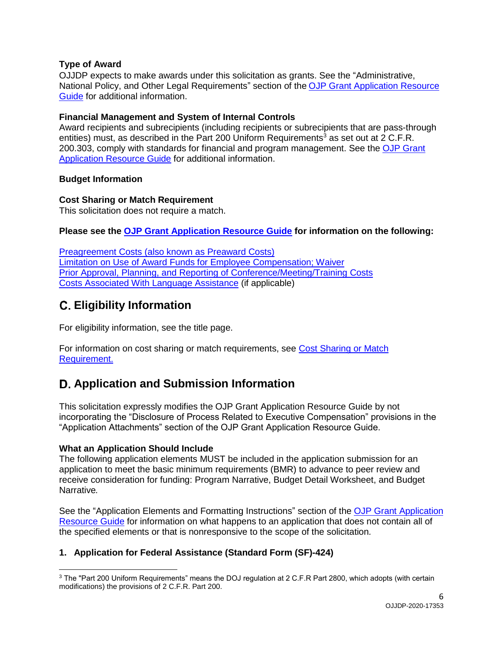# <span id="page-5-0"></span>**Type of Award**

 OJJDP expects to make awards under this solicitation as grants. See the "Administrative, National Policy, and Other Legal Requirements" section of the OJP Grant Application Resource [Guide](https://www.ojp.gov/funding/Apply/Resources/Grant-App-Resource-Guide.htm#otherLegalRequirements) for additional information.

### <span id="page-5-1"></span> **Financial Management and System of Internal Controls**

 Award recipients and subrecipients (including recipients or subrecipients that are pass-through entities) must, as described in the Part 200 Uniform Requirements<sup>3</sup> as set out at 2 C.F.R. 200.303, comply with standards for financial and program management. See the OJP Grant [Application Resource Guide](https://www.ojp.gov/funding/Apply/Resources/Grant-App-Resource-Guide.htm#internalControlsQuestionnaire) for additional information.

### <span id="page-5-3"></span><span id="page-5-2"></span>**Budget Information**

### **Cost Sharing or Match Requirement**

<span id="page-5-4"></span>This solicitation does not require a match.

 **Please see the [OJP Grant Application Resource Guide](https://ojp.gov/funding/Apply/Resources/Grant-App-Resource-Guide.htm) for information on the following:** 

 [Preagreement Costs \(also known as Preaward Costs\)](https://www.ojp.gov/funding/Apply/Resources/Grant-App-Resource-Guide.htm#pre-agreement)  [Limitation on Use of Award Funds for Employee Compensation; Waiver](https://www.ojp.gov/funding/Apply/Resources/Grant-App-Resource-Guide.htm#UseOfAwardFunds)  [Prior Approval, Planning, and Reporting of Conference/Meeting/Training Costs](https://www.ojp.gov/funding/Apply/Resources/Grant-App-Resource-Guide.htm#reportingCosts)  [Costs Associated With Language Assistance](https://www.ojp.gov/funding/Apply/Resources/Grant-App-Resource-Guide.htm#languageAssistance) (if applicable)

# **Eligibility Information**

For eligibility information, see the title page.

For information on cost sharing or match requirements, see Cost Sharing or Match [Requirement.](#page-5-3) 

# **Application and Submission Information**

 This solicitation expressly modifies the OJP Grant Application Resource Guide by not incorporating the "Disclosure of Process Related to Executive Compensation" provisions in the "Application Attachments" section of the OJP Grant Application Resource Guide.

# <span id="page-5-5"></span>**What an Application Should Include**

 The following application elements MUST be included in the application submission for an application to meet the basic minimum requirements (BMR) to advance to peer review and receive consideration for funding: Program Narrative, Budget Detail Worksheet, and Budget Narrative*.* 

See the "Application Elements and Formatting Instructions" section of the OJP Grant Application [Resource Guide](https://www.ojp.gov/funding/Apply/Resources/Grant-App-Resource-Guide.htm#formatInstructions) for information on what happens to an application that does not contain all of the specified elements or that is nonresponsive to the scope of the solicitation*.* 

# **1. Application for Federal Assistance (Standard Form (SF)-424)**

 $\overline{a}$  $^3$  The "Part 200 Uniform Requirements" means the DOJ regulation at 2 C.F.R Part 2800, which adopts (with certain modifications) the provisions of 2 C.F.R. Part 200.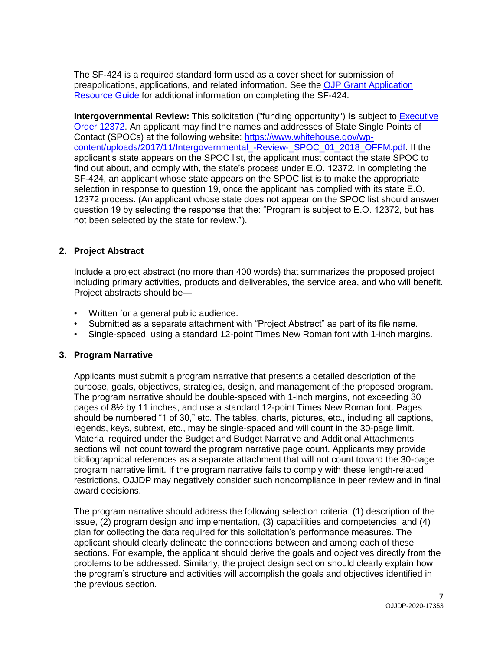The SF-424 is a required standard form used as a cover sheet for submission of preapplications, applications, and related information. See the OJP Grant Application [Resource Guide](https://www.ojp.gov/funding/Apply/Resources/Grant-App-Resource-Guide.htm#completeApplication) for additional information on completing the SF-424.

**Intergovernmental Review:** This solicitation ("funding opportunity") is subject to **Executive** [Order 12372.](https://www.archives.gov/federal-register/codification/executive-order/12372.html) An applicant may find the names and addresses of State Single Points of Contact (SPOCs) at the following website: [https://www.whitehouse.gov/wp-](https://www.whitehouse.gov/wp-content/uploads/2017/11/Intergovernmental_-Review-_SPOC_01_2018_OFFM.pdf) [content/uploads/2017/11/Intergovernmental\\_-Review-\\_SPOC\\_01\\_2018\\_OFFM.pdf.](https://www.whitehouse.gov/wp-content/uploads/2017/11/Intergovernmental_-Review-_SPOC_01_2018_OFFM.pdf) If the applicant's state appears on the SPOC list, the applicant must contact the state SPOC to find out about, and comply with, the state's process under E.O. 12372. In completing the SF-424, an applicant whose state appears on the SPOC list is to make the appropriate selection in response to question 19, once the applicant has complied with its state E.O. 12372 process. (An applicant whose state does not appear on the SPOC list should answer question 19 by selecting the response that the: "Program is subject to E.O. 12372, but has not been selected by the state for review.").

### **2. Project Abstract**

 Include a project abstract (no more than 400 words) that summarizes the proposed project including primary activities, products and deliverables, the service area, and who will benefit. Project abstracts should be—

- Written for a general public audience.
- Submitted as a separate attachment with "Project Abstract" as part of its file name.
- Single-spaced, using a standard 12-point Times New Roman font with 1-inch margins.

#### **3. Program Narrative**

 Applicants must submit a program narrative that presents a detailed description of the purpose, goals, objectives, strategies, design, and management of the proposed program. The program narrative should be double-spaced with 1-inch margins, not exceeding 30 pages of 8½ by 11 inches, and use a standard 12-point Times New Roman font. Pages should be numbered "1 of 30," etc. The tables, charts, pictures, etc., including all captions, legends, keys, subtext, etc., may be single-spaced and will count in the 30-page limit. Material required under the Budget and Budget Narrative and Additional Attachments sections will not count toward the program narrative page count. Applicants may provide bibliographical references as a separate attachment that will not count toward the 30-page program narrative limit. If the program narrative fails to comply with these length-related restrictions, OJJDP may negatively consider such noncompliance in peer review and in final award decisions.

 The program narrative should address the following selection criteria: (1) description of the issue, (2) program design and implementation, (3) capabilities and competencies, and (4) plan for collecting the data required for this solicitation's performance measures. The applicant should clearly delineate the connections between and among each of these sections. For example, the applicant should derive the goals and objectives directly from the problems to be addressed. Similarly, the project design section should clearly explain how the program's structure and activities will accomplish the goals and objectives identified in the previous section.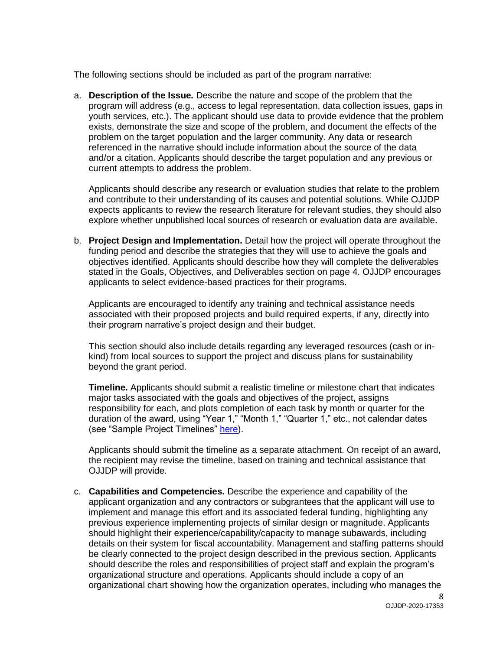The following sections should be included as part of the program narrative:

 a. **Description of the Issue***.* Describe the nature and scope of the problem that the program will address (e.g., access to legal representation, data collection issues, gaps in youth services, etc.). The applicant should use data to provide evidence that the problem exists, demonstrate the size and scope of the problem, and document the effects of the problem on the target population and the larger community. Any data or research referenced in the narrative should include information about the source of the data and/or a citation. Applicants should describe the target population and any previous or current attempts to address the problem.

 Applicants should describe any research or evaluation studies that relate to the problem and contribute to their understanding of its causes and potential solutions. While OJJDP expects applicants to review the research literature for relevant studies, they should also explore whether unpublished local sources of research or evaluation data are available.

 b. **Project Design and Implementation.** Detail how the project will operate throughout the funding period and describe the strategies that they will use to achieve the goals and objectives identified. Applicants should describe how they will complete the deliverables stated in the Goals, Objectives, and Deliverables section on page 4. OJJDP encourages applicants to select evidence-based practices for their programs.

 Applicants are encouraged to identify any training and technical assistance needs associated with their proposed projects and build required experts, if any, directly into their program narrative's project design and their budget.

 This section should also include details regarding any leveraged resources (cash or in- kind) from local sources to support the project and discuss plans for sustainability beyond the grant period.

 **Timeline.** Applicants should submit a realistic timeline or milestone chart that indicates major tasks associated with the goals and objectives of the project, assigns responsibility for each, and plots completion of each task by month or quarter for the duration of the award, using "Year 1," "Month 1," "Quarter 1," etc., not calendar dates (see "Sample Project Timelines" <u>here</u>).

 Applicants should submit the timeline as a separate attachment. On receipt of an award, the recipient may revise the timeline, based on training and technical assistance that OJJDP will provide.

 c. **Capabilities and Competencies.** Describe the experience and capability of the applicant organization and any contractors or subgrantees that the applicant will use to implement and manage this effort and its associated federal funding, highlighting any previous experience implementing projects of similar design or magnitude. Applicants should highlight their experience/capability/capacity to manage subawards, including details on their system for fiscal accountability. Management and staffing patterns should be clearly connected to the project design described in the previous section. Applicants should describe the roles and responsibilities of project staff and explain the program's organizational structure and operations. Applicants should include a copy of an organizational chart showing how the organization operates, including who manages the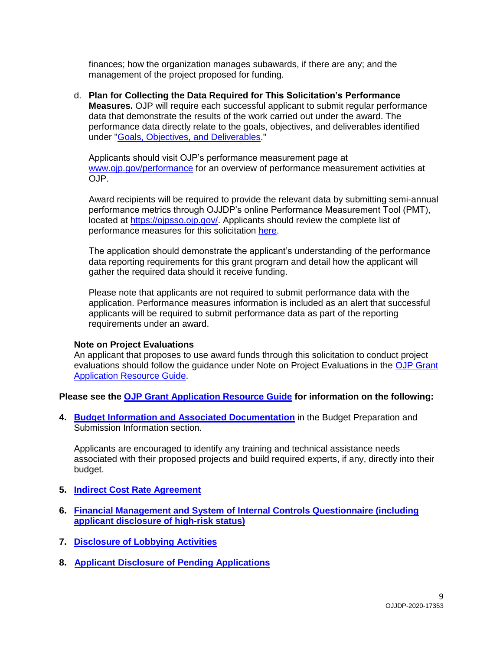finances; how the organization manages subawards, if there are any; and the management of the project proposed for funding.

 d. **Plan for Collecting the Data Required for This Solicitation's Performance Measures.** OJP will require each successful applicant to submit regular performance data that demonstrate the results of the work carried out under the award. The performance data directly relate to the goals, objectives, and deliverables identified under ["Goals, Objectives, and Deliverables.](#page-3-2)"

 Applicants should visit OJP's performance measurement page at [www.ojp.gov/performance](https://www.ojp.gov/performance) for an overview of performance measurement activities at OJP.

 Award recipients will be required to provide the relevant data by submitting semi-annual performance metrics through OJJDP's online Performance Measurement Tool (PMT), located at [https://ojpsso.ojp.gov/.](https://ojpsso.ojp.gov/) Applicants should review the complete list of performance measures for this solicitation [here.](https://ojjdp.ojp.gov/sites/g/files/xyckuh176/files/media/document/performance-measures-fy-2020-enhancements-for-juvenile-indigent-defense-program.pdf)

 The application should demonstrate the applicant's understanding of the performance data reporting requirements for this grant program and detail how the applicant will gather the required data should it receive funding.

 Please note that applicants are not required to submit performance data with the application. Performance measures information is included as an alert that successful applicants will be required to submit performance data as part of the reporting requirements under an award.

#### **Note on Project Evaluations**

 An applicant that proposes to use award funds through this solicitation to conduct project evaluations should follow the guidance under Note on Project Evaluations in the OJP Grant [Application Resource Guide.](https://www.ojp.gov/funding/Apply/Resources/Grant-App-Resource-Guide.htm#projectEvaluation)

 **Please see the [OJP Grant Application Resource Guide](https://ojp.gov/funding/Apply/Resources/Grant-App-Resource-Guide.htm) for information on the following:** 

 Submission Information section. **4. [Budget Information and Associated Documentation](https://www.ojp.gov/funding/Apply/Resources/Grant-App-Resource-Guide.htm#budgetInfo)** in the Budget Preparation and

 Applicants are encouraged to identify any training and technical assistance needs associated with their proposed projects and build required experts, if any, directly into their budget.

- **5. [Indirect Cost Rate Agreement](https://www.ojp.gov/funding/Apply/Resources/Grant-App-Resource-Guide.htm#indirectCosts)**
- **[6. Financial Management and System of Internal Controls Questionnaire \(including](https://www.ojp.gov/funding/Apply/Resources/Grant-App-Resource-Guide.htm#internalControlsQuestionnaire)  [applicant disclosure of high-risk status\)](https://www.ojp.gov/funding/Apply/Resources/Grant-App-Resource-Guide.htm#internalControlsQuestionnaire)**
- **7. [Disclosure of Lobbying Activities](https://www.ojp.gov/funding/Apply/Resources/Grant-App-Resource-Guide.htm#lobbyingActivity)**
- **8. [Applicant Disclosure of Pending Applications](https://www.ojp.gov/funding/Apply/Resources/Grant-App-Resource-Guide.htm#applicantDisclosure)**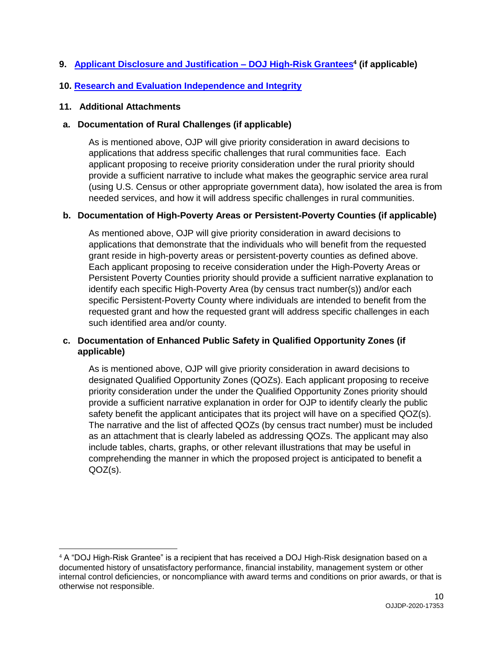# **9.** [Applicant Disclosure and Justification –](https://www.ojp.gov/funding/Apply/Resources/Grant-App-Resource-Guide.htm#applicantDisclosureHR) DOJ High-Risk Grantees<sup>4</sup> (if applicable)

# **10. [Research and Evaluation Independence and Integrity](https://www.ojp.gov/funding/Apply/Resources/Grant-App-Resource-Guide.htm#researchAndEvaluation)**

### **11. Additional Attachments**

### **a. Documentation of Rural Challenges (if applicable)**

 As is mentioned above, OJP will give priority consideration in award decisions to applications that address specific challenges that rural communities face. Each applicant proposing to receive priority consideration under the rural priority should provide a sufficient narrative to include what makes the geographic service area rural (using U.S. Census or other appropriate government data), how isolated the area is from needed services, and how it will address specific challenges in rural communities.

### **b. Documentation of High-Poverty Areas or Persistent-Poverty Counties (if applicable)**

 As mentioned above, OJP will give priority consideration in award decisions to applications that demonstrate that the individuals who will benefit from the requested grant reside in high-poverty areas or persistent-poverty counties as defined above. Each applicant proposing to receive consideration under the High-Poverty Areas or Persistent Poverty Counties priority should provide a sufficient narrative explanation to identify each specific High-Poverty Area (by census tract number(s)) and/or each specific Persistent-Poverty County where individuals are intended to benefit from the requested grant and how the requested grant will address specific challenges in each such identified area and/or county.

# **c. Documentation of Enhanced Public Safety in Qualified Opportunity Zones (if applicable)**

 As is mentioned above, OJP will give priority consideration in award decisions to designated Qualified Opportunity Zones (QOZs). Each applicant proposing to receive priority consideration under the under the Qualified Opportunity Zones priority should provide a sufficient narrative explanation in order for OJP to identify clearly the public safety benefit the applicant anticipates that its project will have on a specified QOZ(s). The narrative and the list of affected QOZs (by census tract number) must be included as an attachment that is clearly labeled as addressing QOZs. The applicant may also include tables, charts, graphs, or other relevant illustrations that may be useful in comprehending the manner in which the proposed project is anticipated to benefit a QOZ(s).

 $\overline{\phantom{a}}$  $4$  A "DOJ High-Risk Grantee" is a recipient that has received a DOJ High-Risk designation based on a documented history of unsatisfactory performance, financial instability, management system or other internal control deficiencies, or noncompliance with award terms and conditions on prior awards, or that is otherwise not responsible.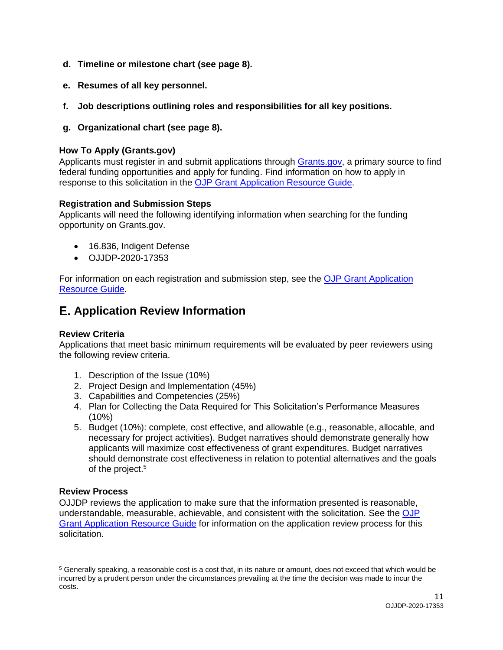- **d. Timeline or milestone chart (see page 8).**
- **e. Resumes of all key personnel.**
- **f. Job descriptions outlining roles and responsibilities for all key positions.**
- **g. Organizational chart (see page 8).**

# <span id="page-10-0"></span>**How To Apply [\(Grants.gov\)](https://Grants.gov)**

Applicants must register in and submit applications through [Grants.gov,](https://www.grants.gov/) a primary source to find federal funding opportunities and apply for funding. Find information on how to apply in response to this solicitation in the **OJP Grant Application Resource Guide**.

# **Registration and Submission Steps**

 Applicants will need the following identifying information when searching for the funding opportunity on [Grants.gov.](https://Grants.gov)

- 16.836, Indigent Defense
- OJJDP-2020-17353

For information on each registration and submission step, see the **OJP Grant Application** [Resource Guide.](https://www.ojp.gov/funding/Apply/Resources/Grant-App-Resource-Guide.htm#submissionSteps)

# **Application Review Information**

# <span id="page-10-1"></span>**Review Criteria**

 Applications that meet basic minimum requirements will be evaluated by peer reviewers using the following review criteria.

- 1. Description of the Issue (10%)
- 2. Project Design and Implementation (45%)
- 3. Capabilities and Competencies (25%)
- 4. Plan for Collecting the Data Required for This Solicitation's Performance Measures  $(10\%)$
- 5. Budget (10%): complete, cost effective, and allowable (e.g., reasonable, allocable, and necessary for project activities). Budget narratives should demonstrate generally how should demonstrate cost effectiveness in relation to potential alternatives and the goals of the project. 5 applicants will maximize cost effectiveness of grant expenditures. Budget narratives

# <span id="page-10-2"></span>**Review Process**

 $\overline{\phantom{a}}$ 

 OJJDP reviews the application to make sure that the information presented is reasonable, understandable, measurable, achievable, and consistent with the solicitation. See the OJP [Grant Application Resource Guide](https://www.ojp.gov/funding/Apply/Resources/Grant-App-Resource-Guide.htm#applicationReview) for information on the application review process for this solicitation.

 $5$  Generally speaking, a reasonable cost is a cost that, in its nature or amount, does not exceed that which would be incurred by a prudent person under the circumstances prevailing at the time the decision was made to incur the costs.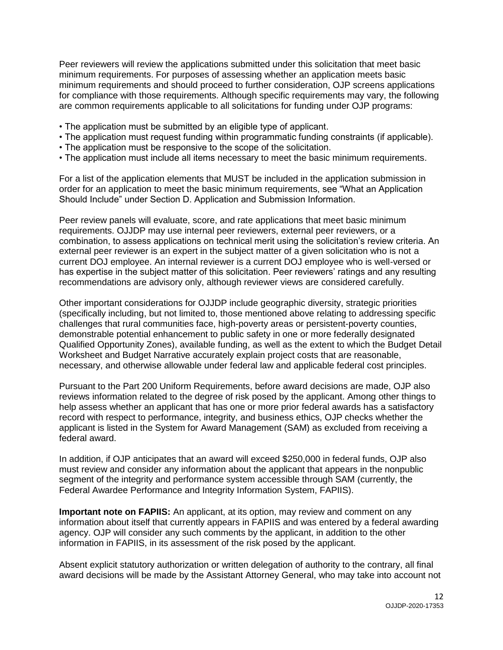Peer reviewers will review the applications submitted under this solicitation that meet basic minimum requirements. For purposes of assessing whether an application meets basic minimum requirements and should proceed to further consideration, OJP screens applications for compliance with those requirements. Although specific requirements may vary, the following are common requirements applicable to all solicitations for funding under OJP programs:

- The application must be submitted by an eligible type of applicant.
- The application must request funding within programmatic funding constraints (if applicable).
- The application must be responsive to the scope of the solicitation.
- The application must include all items necessary to meet the basic minimum requirements.

 For a list of the application elements that MUST be included in the application submission in order for an application to meet the basic minimum requirements, see "What an Application Should Include" under Section D. Application and Submission Information.

 Peer review panels will evaluate, score, and rate applications that meet basic minimum requirements. OJJDP may use internal peer reviewers, external peer reviewers, or a combination, to assess applications on technical merit using the solicitation's review criteria. An external peer reviewer is an expert in the subject matter of a given solicitation who is not a current DOJ employee. An internal reviewer is a current DOJ employee who is well-versed or has expertise in the subject matter of this solicitation. Peer reviewers' ratings and any resulting recommendations are advisory only, although reviewer views are considered carefully.

 Other important considerations for OJJDP include geographic diversity, strategic priorities (specifically including, but not limited to, those mentioned above relating to addressing specific challenges that rural communities face, high-poverty areas or persistent-poverty counties, demonstrable potential enhancement to public safety in one or more federally designated Qualified Opportunity Zones), available funding, as well as the extent to which the Budget Detail Worksheet and Budget Narrative accurately explain project costs that are reasonable, necessary, and otherwise allowable under federal law and applicable federal cost principles.

 Pursuant to the Part 200 Uniform Requirements, before award decisions are made, OJP also reviews information related to the degree of risk posed by the applicant. Among other things to help assess whether an applicant that has one or more prior federal awards has a satisfactory record with respect to performance, integrity, and business ethics, OJP checks whether the applicant is listed in the System for Award Management (SAM) as excluded from receiving a federal award.

 In addition, if OJP anticipates that an award will exceed \$250,000 in federal funds, OJP also must review and consider any information about the applicant that appears in the nonpublic segment of the integrity and performance system accessible through SAM (currently, the Federal Awardee Performance and Integrity Information System, FAPIIS).

Important note on FAPIIS: An applicant, at its option, may review and comment on any information about itself that currently appears in FAPIIS and was entered by a federal awarding agency. OJP will consider any such comments by the applicant, in addition to the other information in FAPIIS, in its assessment of the risk posed by the applicant.

 Absent explicit statutory authorization or written delegation of authority to the contrary, all final award decisions will be made by the Assistant Attorney General, who may take into account not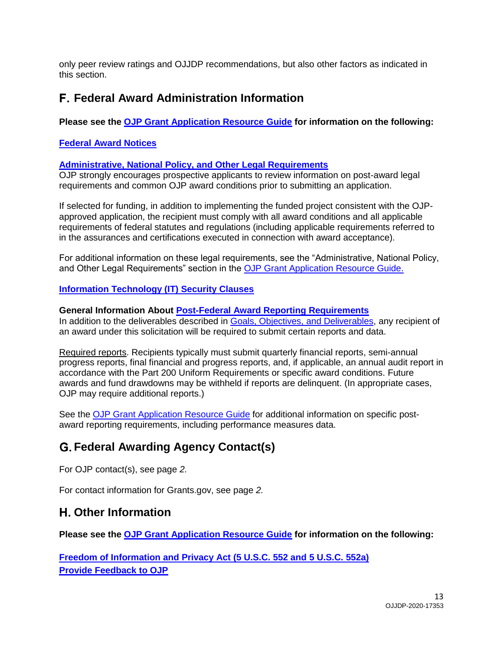only peer review ratings and OJJDP recommendations, but also other factors as indicated in this section.

# **Federal Award Administration Information**

 **Please see the [OJP Grant Application Resource Guide](https://ojp.gov/funding/Apply/Resources/Grant-App-Resource-Guide.htm) for information on the following:** 

### <span id="page-12-1"></span><span id="page-12-0"></span> **[Federal Award Notices](https://www.ojp.gov/funding/Apply/Resources/Grant-App-Resource-Guide.htm#awardNotices)**

#### **[Administrative, National Policy, and Other Legal Requirements](https://www.ojp.gov/funding/Apply/Resources/Grant-App-Resource-Guide.htm#otherLegalRequirements)**

 OJP strongly encourages prospective applicants to review information on post-award legal requirements and common OJP award conditions prior to submitting an application.

 If selected for funding, in addition to implementing the funded project consistent with the OJP- approved application, the recipient must comply with all award conditions and all applicable requirements of federal statutes and regulations (including applicable requirements referred to in the assurances and certifications executed in connection with award acceptance).

 For additional information on these legal requirements, see the "Administrative, National Policy, and Other Legal Requirements" section in the [OJP Grant Application Resource Guide.](https://www.ojp.gov/funding/Apply/Resources/Grant-App-Resource-Guide.htm#otherLegalRequirements)

#### <span id="page-12-2"></span>**[Information Technology \(IT\) Security Clauses](https://www.ojp.gov/funding/Apply/Resources/Grant-App-Resource-Guide.htm#securityClauses)**

#### <span id="page-12-3"></span>**General Information About [Post-Federal Award Reporting Requirements](https://www.ojp.gov/funding/Apply/Resources/Grant-App-Resource-Guide.htm#awardReportingRequirements)**

In addition to the deliverables described in [Goals, Objectives, and Deliverables,](#page-3-2) any recipient of an award under this solicitation will be required to submit certain reports and data.

Required reports. Recipients typically must submit quarterly financial reports, semi-annual progress reports, final financial and progress reports, and, if applicable, an annual audit report in accordance with the Part 200 Uniform Requirements or specific award conditions. Future awards and fund drawdowns may be withheld if reports are delinquent. (In appropriate cases, OJP may require additional reports.)

See the **OJP Grant Application Resource Guide** for additional information on specific post-award reporting requirements, including performance measures data.

# **Federal Awarding Agency Contact(s)**

For OJP contact(s), see page *2.* 

For contact information for [Grants.gov](https://Grants.gov), see page *2.* 

# **Other Information**

<span id="page-12-4"></span> **Please see the [OJP Grant Application Resource Guide](https://ojp.gov/funding/Apply/Resources/Grant-App-Resource-Guide.htm) for information on the following:** 

 **[Freedom of Information and Privacy Act \(5 U.S.C. 552 and 5 U.S.C. 552a\)](https://www.ojp.gov/funding/Apply/Resources/Grant-App-Resource-Guide.htm#foia)  [Provide Feedback to OJP](https://www.ojp.gov/funding/Apply/Resources/Grant-App-Resource-Guide.htm#feedback)**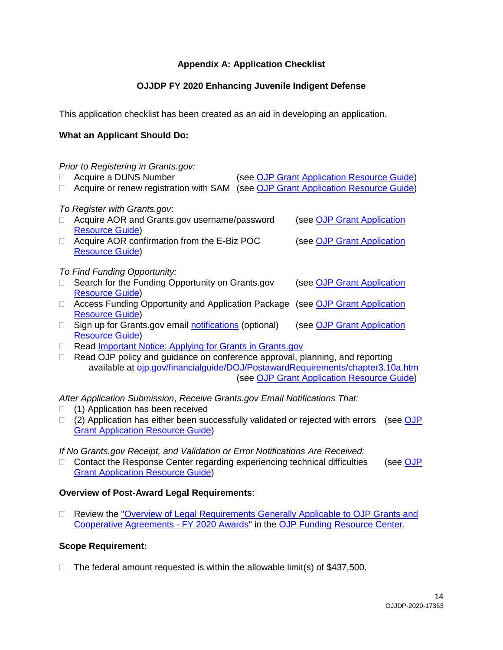# **Appendix A: Application Checklist**

# **OJJDP FY 2020 Enhancing Juvenile Indigent Defense**

<span id="page-13-0"></span>This application checklist has been created as an aid in developing an application.

### **What an Applicant Should Do:**

|                              | Prior to Registering in Grants.gov:<br>Acquire a DUNS Number<br>Acquire or renew registration with SAM |  | (see OJP Grant Application Resource Guide)<br>(see OJP Grant Application Resource Guide) |  |
|------------------------------|--------------------------------------------------------------------------------------------------------|--|------------------------------------------------------------------------------------------|--|
| To Register with Grants.gov. |                                                                                                        |  |                                                                                          |  |
|                              | Acquire AOR and Grants.gov username/password<br><b>Resource Guide)</b>                                 |  | (see OJP Grant Application                                                               |  |
| П                            | Acquire AOR confirmation from the E-Biz POC                                                            |  | (see OJP Grant Application                                                               |  |
|                              | <b>Resource Guide)</b>                                                                                 |  |                                                                                          |  |
| To Find Funding Opportunity: |                                                                                                        |  |                                                                                          |  |
|                              | Search for the Funding Opportunity on Grants.gov                                                       |  | (see OJP Grant Application                                                               |  |
|                              | <b>Resource Guide)</b>                                                                                 |  |                                                                                          |  |
| $\mathbb{R}^n$               | Access Funding Opportunity and Application Package (see OJP Grant Application                          |  |                                                                                          |  |
|                              | <b>Resource Guide)</b>                                                                                 |  |                                                                                          |  |
| $\overline{\phantom{a}}$     | Sign up for Grants.gov email notifications (optional)                                                  |  | (see OJP Grant Application                                                               |  |
|                              | <b>Resource Guide)</b>                                                                                 |  |                                                                                          |  |
|                              | Read Important Notice: Applying for Grants in Grants.gov                                               |  |                                                                                          |  |

□ Read OJP policy and guidance on conference approval, planning, and reporting (see [OJP Grant Application Resource Guide\)](https://www.ojp.gov/funding/Apply/Resources/Grant-App-Resource-Guide.htm#reportingCosts) available at [ojp.gov/financialguide/DOJ/PostawardRequirements/chapter3.10a.htm](https://ojp.gov/financialguide/DOJ/PostawardRequirements/chapter3.10a.htm) 

*After Application Submission*, *Receive [Grants.gov](https://Grants.gov) Email Notifications That:* 

- □ (1) Application has been received
- □ (2) Application has either been successfully validated or rejected with errors (see OJP [Grant Application Resource Guide\)](https://www.ojp.gov/funding/Apply/Resources/Grant-App-Resource-Guide.htm#submissionSteps)

 *If No [Grants.gov](https://Grants.gov) Receipt, and Validation or Error Notifications Are Received:* 

□ Contact the Response Center regarding experiencing technical difficulties (see OJP [Grant Application Resource Guide\)](https://www.ojp.gov/funding/Apply/Resources/Grant-App-Resource-Guide.htm#submissionSteps)

#### **Overview of Post-Award Legal Requirements**:

□ Review the "Overview of Legal Requirements Generally Applicable to OJP Grants and [Cooperative Agreements -](https://www.ojp.gov/funding/Explore/LegalOverview2020/index.htm) FY 2020 Awards" in the [OJP Funding Resource Center.](https://www.ojp.gov/funding/index.htm)

#### **Scope Requirement:**

 $\Box$  The federal amount requested is within the allowable limit(s) of \$437,500.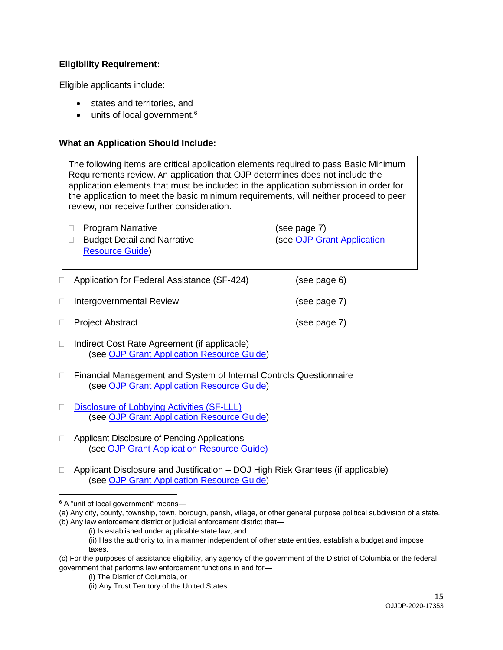### **Eligibility Requirement:**

Eligible applicants include:

- states and territories, and
- units of local government.<sup>6</sup>

#### **What an Application Should Include:**

□ Application for Federal Assistance (SF-424) (see page 6) (see page 7) (see page 7) The following items are critical application elements required to pass Basic Minimum Requirements review. An application that OJP determines does not include the application elements that must be included in the application submission in order for the application to meet the basic minimum requirements, will neither proceed to peer review, nor receive further consideration. □ Budget Detail and Narrative (see OJP Grant Application □ Program Narrative (see page 7) [Resource Guide\)](https://www.ojp.gov/funding/Apply/Resources/Grant-App-Resource-Guide.htm#budgetInfo)  $\Box$  Intergovernmental Review **Project Abstract** 

- □ Indirect Cost Rate Agreement (if applicable) (see [OJP Grant Application Resource Guide\)](https://www.ojp.gov/funding/Apply/Resources/Grant-App-Resource-Guide.htm#indirectCosts)
- □ Financial Management and System of Internal Controls Questionnaire (see [OJP Grant Application Resource Guide\)](https://www.ojp.gov/funding/Apply/Resources/Grant-App-Resource-Guide.htm#internalControlsQuestionnaire)
- Disclosure of Lobbying Activities (SF-LLL) (see [OJP Grant Application Resource Guide\)](https://www.ojp.gov/funding/Apply/Resources/Grant-App-Resource-Guide.htm#lobbyingActivity)
- □ Applicant Disclosure of Pending Applications (see [OJP Grant Application Resource Guide\)](https://www.ojp.gov/funding/Apply/Resources/Grant-App-Resource-Guide.htm#applicantDisclosure)
- □ Applicant Disclosure and Justification DOJ High Risk Grantees (if applicable) (see [OJP Grant Application Resource Guide\)](https://www.ojp.gov/funding/Apply/Resources/Grant-App-Resource-Guide.htm#applicantDisclosureHR)

6 A "unit of local government" means—

 $\overline{\phantom{a}}$ 

 (a) Any city, county, township, town, borough, parish, village, or other general purpose political subdivision of a state. (b) Any law enforcement district or judicial enforcement district that—

<sup>(</sup>i) Is established under applicable state law, and

 (ii) Has the authority to, in a manner independent of other state entities, establish a budget and impose taxes.

 (c) For the purposes of assistance eligibility, any agency of the government of the District of Columbia or the federal government that performs law enforcement functions in and for—

<sup>(</sup>i) The District of Columbia, or

<sup>(</sup>ii) Any Trust Territory of the United States.